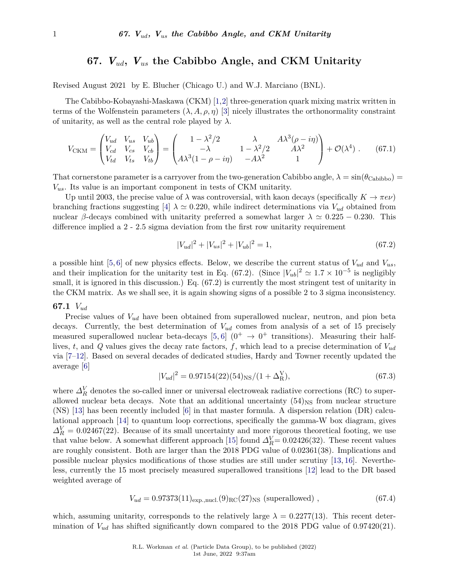# **67.** *Vud***,** *Vus* **the Cabibbo Angle, and CKM Unitarity**

Revised August 2021 by E. Blucher (Chicago U.) and W.J. Marciano (BNL).

The Cabibbo-Kobayashi-Maskawa (CKM) [\[1,](#page-5-0)[2\]](#page-5-1) three-generation quark mixing matrix written in terms of the Wolfenstein parameters  $(\lambda, A, \rho, \eta)$  [\[3\]](#page-5-2) nicely illustrates the orthonormality constraint of unitarity, as well as the central role played by  $\lambda$ .

$$
V_{\text{CKM}} = \begin{pmatrix} V_{ud} & V_{us} & V_{ub} \\ V_{cd} & V_{cs} & V_{cb} \\ V_{td} & V_{ts} & V_{tb} \end{pmatrix} = \begin{pmatrix} 1 - \lambda^2/2 & \lambda & A\lambda^3(\rho - i\eta) \\ -\lambda & 1 - \lambda^2/2 & A\lambda^2 \\ A\lambda^3(1 - \rho - i\eta) & -A\lambda^2 & 1 \end{pmatrix} + \mathcal{O}(\lambda^4) . \tag{67.1}
$$

That cornerstone parameter is a carryover from the two-generation Cabibbo angle,  $\lambda = \sin(\theta_{\text{Cabibo}})$ *Vus*. Its value is an important component in tests of CKM unitarity.

Up until 2003, the precise value of  $\lambda$  was controversial, with kaon decays (specifically  $K \to \pi e \nu$ ) branching fractions suggesting [\[4\]](#page-5-3)  $\lambda \simeq 0.220$ , while indirect determinations via  $V_{ud}$  obtained from nuclear *β*-decays combined with unitarity preferred a somewhat larger  $\lambda \approx 0.225 - 0.230$ . This difference implied a 2 - 2.5 sigma deviation from the first row unitarity requirement

$$
|V_{ud}|^2 + |V_{us}|^2 + |V_{ub}|^2 = 1,
$$
\n(67.2)

a possible hint [\[5,](#page-5-4) [6\]](#page-5-5) of new physics effects. Below, we describe the current status of *Vud* and *Vus*, and their implication for the unitarity test in Eq. (67.2). (Since  $|V_{ub}|^2 \simeq 1.7 \times 10^{-5}$  is negligibly small, it is ignored in this discussion.) Eq.  $(67.2)$  is currently the most stringent test of unitarity in the CKM matrix. As we shall see, it is again showing signs of a possible 2 to 3 sigma inconsistency.

# **67.1** *Vud*

Precise values of *Vud* have been obtained from superallowed nuclear, neutron, and pion beta decays. Currently, the best determination of *Vud* comes from analysis of a set of 15 precisely measured superallowed nuclear beta-decays [\[5,](#page-5-4) [6\]](#page-5-5)  $(0^+ \rightarrow 0^+$  transitions). Measuring their halflives, *t*, and *Q* values gives the decay rate factors, *f*, which lead to a precise determination of *Vud* via [\[7–](#page-5-6)[12\]](#page-5-7). Based on several decades of dedicated studies, Hardy and Towner recently updated the average [\[6\]](#page-5-5)

$$
|V_{ud}|^2 = 0.97154(22)(54)_{\rm NS}/(1+\Delta_{\rm R}^{\rm V}),\tag{67.3}
$$

where  $\Delta_R^V$  denotes the so-called inner or universal electroweak radiative corrections (RC) to superallowed nuclear beta decays. Note that an additional uncertainty  $(54)_{\text{NS}}$  from nuclear structure (NS) [\[13\]](#page-5-8) has been recently included [\[6\]](#page-5-5) in that master formula. A dispersion relation (DR) calculational approach [\[14\]](#page-5-9) to quantum loop corrections, specifically the gamma-W box diagram, gives  $\Delta_R^V = 0.02467(22)$ . Because of its small uncertainty and more rigorous theoretical footing, we use that value below. A somewhat different approach [\[15\]](#page-5-10) found  $\Delta_k^V = 0.02426(32)$ . These recent values are roughly consistent. Both are larger than the 2018 PDG value of 0.02361(38). Implications and possible nuclear physics modifications of those studies are still under scrutiny [\[13,](#page-5-8) [16\]](#page-5-11). Nevertheless, currently the 15 most precisely measured superallowed transitions [\[12\]](#page-5-7) lead to the DR based weighted average of

$$
V_{ud} = 0.97373(11)_{\text{exp.,nucl.}}(9)_{\text{RC}}(27)_{\text{NS}} \text{ (superallowed) }, \qquad (67.4)
$$

which, assuming unitarity, corresponds to the relatively large  $\lambda = 0.2277(13)$ . This recent determination of *Vud* has shifted significantly down compared to the 2018 PDG value of 0.97420(21).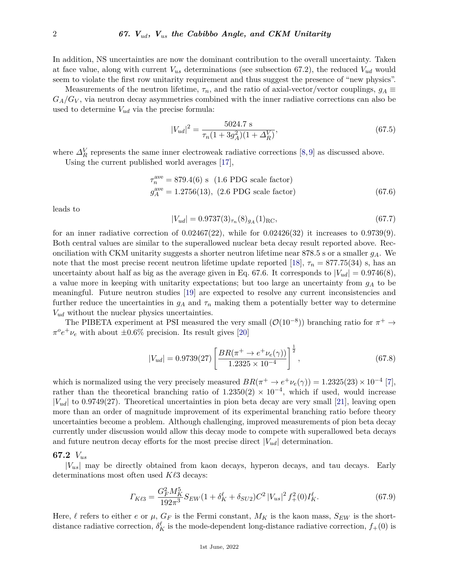In addition, NS uncertainties are now the dominant contribution to the overall uncertainty. Taken at face value, along with current  $V_{us}$  determinations (see subsection 67.2), the reduced  $V_{ud}$  would seem to violate the first row unitarity requirement and thus suggest the presence of "new physics".

Measurements of the neutron lifetime,  $\tau_n$ , and the ratio of axial-vector/vector couplings,  $g_A \equiv$  $G_A/G_V$ , via neutron decay asymmetries combined with the inner radiative corrections can also be used to determine  $V_{ud}$  via the precise formula:

$$
|V_{ud}|^2 = \frac{5024.7 \text{ s}}{\tau_n (1 + 3g_A^2)(1 + \Delta_R^V)},\tag{67.5}
$$

where  $\Delta_R^V$  represents the same inner electroweak radiative corrections [\[8,](#page-5-12)[9\]](#page-5-13) as discussed above.

Using the current published world averages [\[17\]](#page-5-14),

$$
\tau_n^{\text{ave}} = 879.4(6) \text{ s} \quad (1.6 \text{ PDG scale factor})
$$
\n
$$
g_A^{\text{ave}} = 1.2756(13), \ (2.6 \text{ PDG scale factor}) \tag{67.6}
$$

leads to

$$
|V_{ud}| = 0.9737(3)_{\tau_n}(8)_{g_A}(1)_{\rm RC},\tag{67.7}
$$

for an inner radiative correction of  $0.02467(22)$ , while for  $0.02426(32)$  it increases to  $0.9739(9)$ . Both central values are similar to the superallowed nuclear beta decay result reported above. Reconciliation with CKM unitarity suggests a shorter neutron lifetime near 878.5 s or a smaller *gA*. We note that the most precise recent neutron lifetime update reported [\[18\]](#page-5-15),  $\tau_n = 877.75(34)$  s, has an uncertainty about half as big as the average given in Eq. 67.6. It corresponds to  $|V_{ud}| = 0.9746(8)$ , a value more in keeping with unitarity expectations; but too large an uncertainty from *g<sup>A</sup>* to be meaningful. Future neutron studies [\[19\]](#page-5-16) are expected to resolve any current inconsistencies and further reduce the uncertainties in  $g_A$  and  $\tau_n$  making them a potentially better way to determine *Vud* without the nuclear physics uncertainties.

The PIBETA experiment at PSI measured the very small  $(\mathcal{O}(10^{-8}))$  branching ratio for  $\pi^+ \to$  $\pi^o e^+ \nu_e$  with about  $\pm 0.6\%$  precision. Its result gives [\[20\]](#page-5-17)

$$
|V_{ud}| = 0.9739(27) \left[ \frac{BR(\pi^+ \to e^+ \nu_e(\gamma))}{1.2325 \times 10^{-4}} \right]^{\frac{1}{2}}, \tag{67.8}
$$

which is normalized using the very precisely measured  $BR(\pi^+ \to e^+ \nu_e(\gamma)) = 1.2325(23) \times 10^{-4}$  [\[7\]](#page-5-6), rather than the theoretical branching ratio of  $1.2350(2) \times 10^{-4}$ , which if used, would increase |*Vud*| to 0.9749(27). Theoretical uncertainties in pion beta decay are very small [\[21\]](#page-5-18), leaving open more than an order of magnitude improvement of its experimental branching ratio before theory uncertainties become a problem. Although challenging, improved measurements of pion beta decay currently under discussion would allow this decay mode to compete with superallowed beta decays and future neutron decay efforts for the most precise direct  $|V_{ud}|$  determination.

#### **67.2** *Vus*

|*Vus*| may be directly obtained from kaon decays, hyperon decays, and tau decays. Early determinations most often used *K* $\ell$ 3 decays:

$$
\Gamma_{K\ell 3} = \frac{G_F^2 M_K^5}{192\pi^3} S_{EW} (1 + \delta_K^{\ell} + \delta_{SU2}) C^2 \left| V_{us} \right|^2 f_+^2 (0) I_K^{\ell}.
$$
\n(67.9)

Here,  $\ell$  refers to either *e* or  $\mu$ ,  $G_F$  is the Fermi constant,  $M_K$  is the kaon mass,  $S_{EW}$  is the shortdistance radiative correction,  $\delta_K^{\ell}$  is the mode-dependent long-distance radiative correction,  $f_+(0)$  is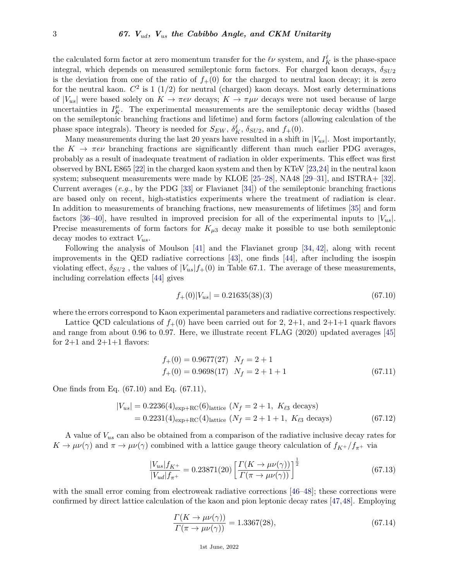the calculated form factor at zero momentum transfer for the  $\ell \nu$  system, and  $I_K^{\ell}$  is the phase-space integral, which depends on measured semileptonic form factors. For charged kaon decays, *δSU*<sup>2</sup> is the deviation from one of the ratio of  $f<sub>+</sub>(0)$  for the charged to neutral kaon decay; it is zero for the neutral kaon.  $C^2$  is 1 (1/2) for neutral (charged) kaon decays. Most early determinations of  $|V_{us}|$  were based solely on  $K \to \pi e \nu$  decays;  $K \to \pi \mu \nu$  decays were not used because of large uncertainties in  $I_K^{\mu}$ . The experimental measurements are the semileptonic decay widths (based on the semileptonic branching fractions and lifetime) and form factors (allowing calculation of the phase space integrals). Theory is needed for  $S_{EW}$ ,  $\delta_K^{\ell}$ ,  $\delta_{SU2}$ , and  $f_+(0)$ .

Many measurements during the last 20 years have resulted in a shift in  $|V_{us}|$ . Most importantly, the  $K \to \pi e \nu$  branching fractions are significantly different than much earlier PDG averages, probably as a result of inadequate treatment of radiation in older experiments. This effect was first observed by BNL E865 [\[22\]](#page-5-19) in the charged kaon system and then by KTeV [\[23,](#page-5-20)[24\]](#page-5-21) in the neutral kaon system; subsequent measurements were made by KLOE [\[25–](#page-5-22)[28\]](#page-5-23), NA48 [\[29–](#page-5-24)[31\]](#page-5-25), and ISTRA+ [\[32\]](#page-5-26). Current averages (*e.g.*, by the PDG [\[33\]](#page-5-27) or Flavianet [\[34\]](#page-5-28)) of the semileptonic branching fractions are based only on recent, high-statistics experiments where the treatment of radiation is clear. In addition to measurements of branching fractions, new measurements of lifetimes [\[35\]](#page-6-0) and form factors [\[36](#page-6-1)[–40\]](#page-6-2), have resulted in improved precision for all of the experimental inputs to  $|V_{us}|$ . Precise measurements of form factors for  $K_{\mu 3}$  decay make it possible to use both semileptonic decay modes to extract *Vus*.

Following the analysis of Moulson [\[41\]](#page-6-3) and the Flavianet group [\[34,](#page-5-28) [42\]](#page-6-4), along with recent improvements in the QED radiative corrections [\[43\]](#page-6-5), one finds [\[44\]](#page-6-6), after including the isospin violating effect,  $\delta_{SU_2}$ , the values of  $|V_{us}|f_+(0)$  in Table 67.1. The average of these measurements, including correlation effects [\[44\]](#page-6-6) gives

$$
f_{+}(0)|V_{us}| = 0.21635(38)(3)
$$
\n
$$
(67.10)
$$

where the errors correspond to Kaon experimental parameters and radiative corrections respectively.

Lattice QCD calculations of  $f_+(0)$  have been carried out for 2, 2+1, and 2+1+1 quark flavors and range from about 0.96 to 0.97. Here, we illustrate recent FLAG (2020) updated averages [\[45\]](#page-6-7) for  $2+1$  and  $2+1+1$  flavors:

$$
f_{+}(0) = 0.9677(27) \quad N_f = 2 + 1
$$
  
\n
$$
f_{+}(0) = 0.9698(17) \quad N_f = 2 + 1 + 1
$$
\n(67.11)

One finds from Eq. (67.10) and Eq. (67.11),

$$
|V_{us}| = 0.2236(4)_{\exp+RC}(6)_{\text{lattice}} (N_f = 2 + 1, K_{\ell 3} \text{ decays})
$$
  
= 0.2231(4)<sub>exp+RC</sub>(4)<sub>lattice</sub> (N\_f = 2 + 1 + 1, K\_{\ell 3} \text{ decays}) (67.12)

A value of *Vus* can also be obtained from a comparison of the radiative inclusive decay rates for  $K \to \mu\nu(\gamma)$  and  $\pi \to \mu\nu(\gamma)$  combined with a lattice gauge theory calculation of  $f_{K^+}/f_{\pi^+}$  via

$$
\frac{|V_{us}|f_{K^+}}{|V_{ud}|f_{\pi^+}} = 0.23871(20) \left[ \frac{\Gamma(K \to \mu\nu(\gamma))}{\Gamma(\pi \to \mu\nu(\gamma))} \right]^{\frac{1}{2}}
$$
(67.13)

with the small error coming from electroweak radiative corrections [\[46–](#page-6-8)[48\]](#page-6-9); these corrections were confirmed by direct lattice calculation of the kaon and pion leptonic decay rates [\[47,](#page-6-10)[48\]](#page-6-9). Employing

$$
\frac{\Gamma(K \to \mu\nu(\gamma))}{\Gamma(\pi \to \mu\nu(\gamma))} = 1.3367(28),\tag{67.14}
$$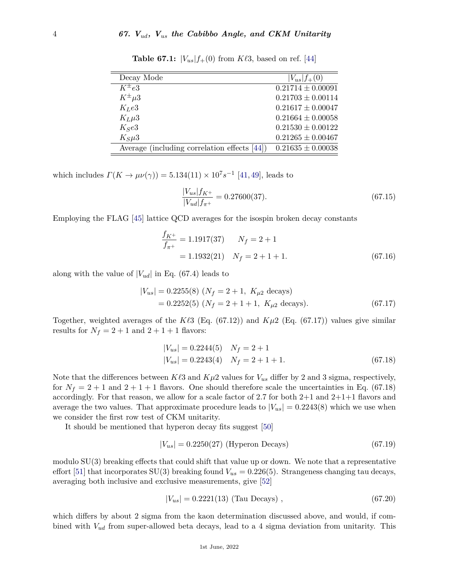| $ V_{us} _{f+}(0)$    |
|-----------------------|
| $0.21714 \pm 0.00091$ |
| $0.21703 \pm 0.00114$ |
| $0.21617 \pm 0.00047$ |
| $0.21664 \pm 0.00058$ |
| $0.21530 \pm 0.00122$ |
| $0.21265 \pm 0.00467$ |
| $0.21635 \pm 0.00038$ |
|                       |

**Table 67.1:**  $|V_{us}| f_{+}(0)$  from  $K \ell 3$ , based on ref. [\[44\]](#page-6-6)

which includes  $\Gamma(K \to \mu\nu(\gamma)) = 5.134(11) \times 10^7 s^{-1}$  [\[41,](#page-6-3) [49\]](#page-6-11), leads to

$$
\frac{|V_{us}|f_{K^+}}{|V_{ud}|f_{\pi^+}} = 0.27600(37). \tag{67.15}
$$

Employing the FLAG [\[45\]](#page-6-7) lattice QCD averages for the isospin broken decay constants

$$
\frac{f_{K^+}}{f_{\pi^+}} = 1.1917(37) \qquad N_f = 2 + 1
$$
  
= 1.1932(21) \qquad N\_f = 2 + 1 + 1. \tag{67.16}

along with the value of  $|V_{ud}|$  in Eq. (67.4) leads to

$$
|V_{us}| = 0.2255(8) (N_f = 2 + 1, K_{\mu 2} \text{ decays})
$$
  
= 0.2252(5) (N\_f = 2 + 1 + 1, K\_{\mu 2} \text{ decays}). (67.17)

Together, weighted averages of the  $K\ell3$  (Eq. (67.12)) and  $K\mu2$  (Eq. (67.17)) values give similar results for  $N_f = 2 + 1$  and  $2 + 1 + 1$  flavors:

$$
|V_{us}| = 0.2244(5) \t N_f = 2 + 1
$$
  

$$
|V_{us}| = 0.2243(4) \t N_f = 2 + 1 + 1.
$$
 (67.18)

Note that the differences between  $K\ell 3$  and  $K\mu 2$  values for  $V_{us}$  differ by 2 and 3 sigma, respectively, for  $N_f = 2 + 1$  and  $2 + 1 + 1$  flavors. One should therefore scale the uncertainties in Eq. (67.18) accordingly. For that reason, we allow for a scale factor of 2.7 for both 2+1 and 2+1+1 flavors and average the two values. That approximate procedure leads to  $|V_{us}| = 0.2243(8)$  which we use when we consider the first row test of CKM unitarity.

It should be mentioned that hyperon decay fits suggest [\[50\]](#page-6-12)

$$
|V_{us}| = 0.2250(27)
$$
 (Hyperon Decays) (67.19)

modulo SU(3) breaking effects that could shift that value up or down. We note that a representative effort [\[51\]](#page-6-13) that incorporates SU(3) breaking found  $V_{us} = 0.226(5)$ . Strangeness changing tau decays, averaging both inclusive and exclusive measurements, give [\[52\]](#page-6-14)

$$
|V_{us}| = 0.2221(13) \text{ (Tau Decays)}, \qquad (67.20)
$$

which differs by about 2 sigma from the kaon determination discussed above, and would, if combined with *Vud* from super-allowed beta decays, lead to a 4 sigma deviation from unitarity. This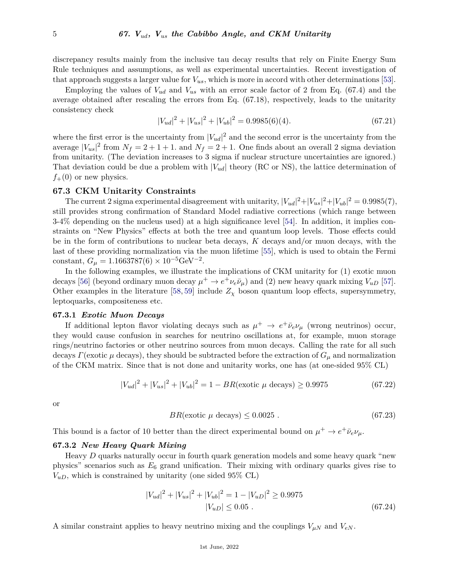discrepancy results mainly from the inclusive tau decay results that rely on Finite Energy Sum Rule techniques and assumptions, as well as experimental uncertainties. Recent investigation of that approach suggests a larger value for  $V_{us}$ , which is more in accord with other determinations [\[53\]](#page-6-15).

Employing the values of *Vud* and *Vus* with an error scale factor of 2 from Eq. (67.4) and the average obtained after rescaling the errors from Eq. (67.18), respectively, leads to the unitarity consistency check

$$
|V_{ud}|^2 + |V_{us}|^2 + |V_{ub}|^2 = 0.9985(6)(4). \tag{67.21}
$$

where the first error is the uncertainty from  $|V_{ud}|^2$  and the second error is the uncertainty from the average  $|V_{us}|^2$  from  $N_f = 2 + 1 + 1$ , and  $N_f = 2 + 1$ . One finds about an overall 2 sigma deviation from unitarity. (The deviation increases to 3 sigma if nuclear structure uncertainties are ignored.) That deviation could be due a problem with |*Vud*| theory (RC or NS), the lattice determination of  $f_{+}(0)$  or new physics.

# **67.3 CKM Unitarity Constraints**

The current 2 sigma experimental disagreement with unitarity,  $|V_{ud}|^2 + |V_{us}|^2 + |V_{ub}|^2 = 0.9985(7)$ , still provides strong confirmation of Standard Model radiative corrections (which range between 3-4% depending on the nucleus used) at a high significance level [\[54\]](#page-6-16). In addition, it implies constraints on "New Physics" effects at both the tree and quantum loop levels. Those effects could be in the form of contributions to nuclear beta decays, *K* decays and/or muon decays, with the last of these providing normalization via the muon lifetime [\[55\]](#page-6-17), which is used to obtain the Fermi constant,  $G_{\mu} = 1.1663787(6) \times 10^{-5} \text{GeV}^{-2}$ .

In the following examples, we illustrate the implications of CKM unitarity for (1) exotic muon decays [\[56\]](#page-6-18) (beyond ordinary muon decay  $\mu^+ \to e^+ \nu_e \bar{\nu}_\mu$ ) and (2) new heavy quark mixing  $V_{uD}$  [\[57\]](#page-6-19). Other examples in the literature [\[58,](#page-6-20) [59\]](#page-6-21) include  $Z_{\chi}$  boson quantum loop effects, supersymmetry, leptoquarks, compositeness etc.

# **67.3.1** *Exotic Muon Decays*

If additional lepton flavor violating decays such as  $\mu^+ \to e^+ \bar{\nu}_e \nu_\mu$  (wrong neutrinos) occur, they would cause confusion in searches for neutrino oscillations at, for example, muon storage rings/neutrino factories or other neutrino sources from muon decays. Calling the rate for all such decays *Γ*(exotic  $\mu$  decays), they should be subtracted before the extraction of  $G_{\mu}$  and normalization of the CKM matrix. Since that is not done and unitarity works, one has (at one-sided 95% CL)

$$
|V_{ud}|^2 + |V_{us}|^2 + |V_{ub}|^2 = 1 - BR(\text{exotic } \mu \text{ decays}) \ge 0.9975 \tag{67.22}
$$

or

$$
BR(\text{exotic } \mu \text{ decays}) \le 0.0025 \tag{67.23}
$$

This bound is a factor of 10 better than the direct experimental bound on  $\mu^+ \to e^+ \bar{\nu}_e \nu_\mu$ .

#### **67.3.2** *New Heavy Quark Mixing*

Heavy *D* quarks naturally occur in fourth quark generation models and some heavy quark "new physics" scenarios such as *E*<sup>6</sup> grand unification. Their mixing with ordinary quarks gives rise to  $V_{uD}$ , which is constrained by unitarity (one sided 95% CL)

$$
|V_{ud}|^2 + |V_{us}|^2 + |V_{ub}|^2 = 1 - |V_{uD}|^2 \ge 0.9975
$$
  

$$
|V_{uD}| \le 0.05 .
$$
 (67.24)

A similar constraint applies to heavy neutrino mixing and the couplings  $V_{\mu N}$  and  $V_{eN}$ .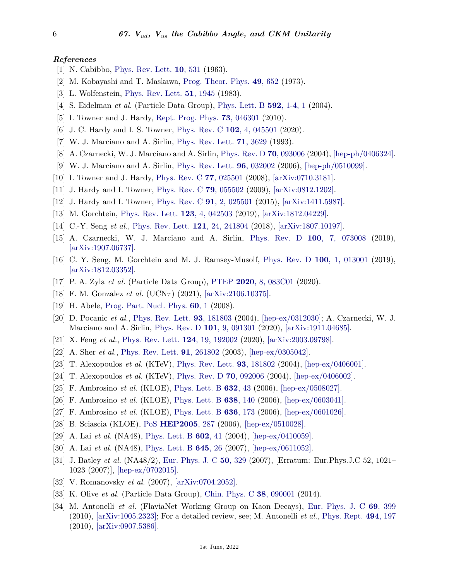#### *References*

- <span id="page-5-0"></span>[1] N. Cabibbo, [Phys. Rev. Lett.](http://doi.org/10.1103/PhysRevLett.10.531) **10**[, 531](http://doi.org/10.1103/PhysRevLett.10.531) (1963).
- <span id="page-5-1"></span>[2] M. Kobayashi and T. Maskawa, [Prog. Theor. Phys.](http://doi.org/10.1143/PTP.49.652) **49**[, 652](http://doi.org/10.1143/PTP.49.652) (1973).
- <span id="page-5-2"></span>[3] L. Wolfenstein, [Phys. Rev. Lett.](http://doi.org/10.1103/PhysRevLett.51.1945) **51**[, 1945](http://doi.org/10.1103/PhysRevLett.51.1945) (1983).
- <span id="page-5-3"></span>[4] S. Eidelman *et al.* (Particle Data Group), [Phys. Lett. B](http://doi.org/10.1016/j.physletb.2004.06.001) **592**[, 1-4, 1](http://doi.org/10.1016/j.physletb.2004.06.001) (2004).
- <span id="page-5-4"></span>[5] I. Towner and J. Hardy, [Rept. Prog. Phys.](http://doi.org/10.1088/0034-4885/73/4/046301) **73**[, 046301](http://doi.org/10.1088/0034-4885/73/4/046301) (2010).
- <span id="page-5-5"></span>[6] J. C. Hardy and I. S. Towner, [Phys. Rev. C](http://doi.org/10.1103/PhysRevC.102.045501) **102**[, 4, 045501](http://doi.org/10.1103/PhysRevC.102.045501) (2020).
- <span id="page-5-6"></span>[7] W. J. Marciano and A. Sirlin, [Phys. Rev. Lett.](http://doi.org/10.1103/PhysRevLett.71.3629) **71**[, 3629](http://doi.org/10.1103/PhysRevLett.71.3629) (1993).
- <span id="page-5-12"></span>[8] A. Czarnecki, W. J. Marciano and A. Sirlin, [Phys. Rev. D](http://doi.org/10.1103/PhysRevD.70.093006) **70**[, 093006](http://doi.org/10.1103/PhysRevD.70.093006) (2004), [\[hep-ph/0406324\].](https://arxiv.org/abs/hep-ph/0406324)
- <span id="page-5-13"></span>[9] W. J. Marciano and A. Sirlin, [Phys. Rev. Lett.](http://doi.org/10.1103/PhysRevLett.96.032002) **96**[, 032002](http://doi.org/10.1103/PhysRevLett.96.032002) (2006), [\[hep-ph/0510099\].](https://arxiv.org/abs/hep-ph/0510099)
- [10] I. Towner and J. Hardy, [Phys. Rev. C](http://doi.org/10.1103/PhysRevC.77.025501) **77**[, 025501](http://doi.org/10.1103/PhysRevC.77.025501) (2008), [\[arXiv:0710.3181\].](https://arxiv.org/abs/0710.3181)
- [11] J. Hardy and I. Towner, [Phys. Rev. C](http://doi.org/10.1103/PhysRevC.79.055502) **79**[, 055502](http://doi.org/10.1103/PhysRevC.79.055502) (2009), [\[arXiv:0812.1202\].](https://arxiv.org/abs/0812.1202)
- <span id="page-5-7"></span>[12] J. Hardy and I. Towner, [Phys. Rev. C](http://doi.org/10.1103/PhysRevC.91.025501) **91**[, 2, 025501](http://doi.org/10.1103/PhysRevC.91.025501) (2015), [\[arXiv:1411.5987\].](https://arxiv.org/abs/1411.5987)
- <span id="page-5-8"></span>[13] M. Gorchtein, [Phys. Rev. Lett.](http://doi.org/10.1103/PhysRevLett.123.042503) **123**[, 4, 042503](http://doi.org/10.1103/PhysRevLett.123.042503) (2019), [\[arXiv:1812.04229\].](https://arxiv.org/abs/1812.04229)
- <span id="page-5-9"></span>[14] C.-Y. Seng *et al.*, [Phys. Rev. Lett.](http://doi.org/10.1103/PhysRevLett.121.241804) **121**[, 24, 241804](http://doi.org/10.1103/PhysRevLett.121.241804) (2018), [\[arXiv:1807.10197\].](https://arxiv.org/abs/1807.10197)
- <span id="page-5-10"></span>[15] A. Czarnecki, W. J. Marciano and A. Sirlin, [Phys. Rev. D](http://doi.org/10.1103/PhysRevD.100.073008) **100**[, 7, 073008](http://doi.org/10.1103/PhysRevD.100.073008) (2019), [\[arXiv:1907.06737\].](https://arxiv.org/abs/1907.06737)
- <span id="page-5-11"></span>[16] C. Y. Seng, M. Gorchtein and M. J. Ramsey-Musolf, [Phys. Rev. D](http://doi.org/10.1103/PhysRevD.100.013001) **100**[, 1, 013001](http://doi.org/10.1103/PhysRevD.100.013001) (2019), [\[arXiv:1812.03352\].](https://arxiv.org/abs/1812.03352)
- <span id="page-5-14"></span>[17] P. A. Zyla *et al.* (Particle Data Group), [PTEP](http://doi.org/10.1093/ptep/ptaa104) **2020**[, 8, 083C01](http://doi.org/10.1093/ptep/ptaa104) (2020).
- <span id="page-5-15"></span>[18] F. M. Gonzalez *et al.* (UCN*τ* ) (2021), [\[arXiv:2106.10375\].](https://arxiv.org/abs/2106.10375)
- <span id="page-5-16"></span>[19] H. Abele, [Prog. Part. Nucl. Phys.](http://doi.org/10.1016/j.ppnp.2007.05.002) **[60](http://doi.org/10.1016/j.ppnp.2007.05.002)**, 1 (2008).
- <span id="page-5-17"></span>[20] D. Pocanic *et al.*, [Phys. Rev. Lett.](http://doi.org/10.1103/PhysRevLett.93.181803) **93**[, 181803](http://doi.org/10.1103/PhysRevLett.93.181803) (2004), [\[hep-ex/0312030\];](https://arxiv.org/abs/hep-ex/0312030) A. Czarnecki, W. J. Marciano and A. Sirlin, [Phys. Rev. D](http://doi.org/10.1103/PhysRevD.101.091301) **101**[, 9, 091301](http://doi.org/10.1103/PhysRevD.101.091301) (2020), [\[arXiv:1911.04685\].](https://arxiv.org/abs/1911.04685)
- <span id="page-5-18"></span>[21] X. Feng *et al.*, [Phys. Rev. Lett.](http://doi.org/10.1103/PhysRevLett.124.192002) **124**[, 19, 192002](http://doi.org/10.1103/PhysRevLett.124.192002) (2020), [\[arXiv:2003.09798\].](https://arxiv.org/abs/2003.09798)
- <span id="page-5-19"></span>[22] A. Sher *et al.*, [Phys. Rev. Lett.](http://doi.org/10.1103/PhysRevLett.91.261802) **91**[, 261802](http://doi.org/10.1103/PhysRevLett.91.261802) (2003), [\[hep-ex/0305042\].](https://arxiv.org/abs/hep-ex/0305042)
- <span id="page-5-20"></span>[23] T. Alexopoulos *et al.* (KTeV), [Phys. Rev. Lett.](http://doi.org/10.1103/PhysRevLett.93.181802) **93**[, 181802](http://doi.org/10.1103/PhysRevLett.93.181802) (2004), [\[hep-ex/0406001\].](https://arxiv.org/abs/hep-ex/0406001)
- <span id="page-5-21"></span>[24] T. Alexopoulos *et al.* (KTeV), [Phys. Rev. D](http://doi.org/10.1103/PhysRevD.70.092006) **70**[, 092006](http://doi.org/10.1103/PhysRevD.70.092006) (2004), [\[hep-ex/0406002\].](https://arxiv.org/abs/hep-ex/0406002)
- <span id="page-5-22"></span>[25] F. Ambrosino *et al.* (KLOE), [Phys. Lett. B](http://doi.org/10.1016/j.physletb.2005.10.018) **[632](http://doi.org/10.1016/j.physletb.2005.10.018)**, 43 (2006), [\[hep-ex/0508027\].](https://arxiv.org/abs/hep-ex/0508027)
- [26] F. Ambrosino *et al.* (KLOE), [Phys. Lett. B](http://doi.org/10.1016/j.physletb.2006.05.039) **638**[, 140](http://doi.org/10.1016/j.physletb.2006.05.039) (2006), [\[hep-ex/0603041\].](https://arxiv.org/abs/hep-ex/0603041)
- [27] F. Ambrosino *et al.* (KLOE), [Phys. Lett. B](http://doi.org/10.1016/j.physletb.2006.03.047) **636**[, 173](http://doi.org/10.1016/j.physletb.2006.03.047) (2006), [\[hep-ex/0601026\].](https://arxiv.org/abs/hep-ex/0601026)
- <span id="page-5-23"></span>[28] B. Sciascia (KLOE), [PoS](http://doi.org/10.22323/1.021.0287) **[HEP2005](http://doi.org/10.22323/1.021.0287)**, 287 (2006), [\[hep-ex/0510028\].](https://arxiv.org/abs/hep-ex/0510028)
- <span id="page-5-24"></span>[29] A. Lai *et al.* (NA48), [Phys. Lett. B](http://doi.org/10.1016/j.physletb.2004.09.056) **[602](http://doi.org/10.1016/j.physletb.2004.09.056)**, 41 (2004), [\[hep-ex/0410059\].](https://arxiv.org/abs/hep-ex/0410059)
- [30] A. Lai *et al.* (NA48), [Phys. Lett. B](http://doi.org/10.1016/j.physletb.2006.11.071) **[645](http://doi.org/10.1016/j.physletb.2006.11.071)**, 26 (2007), [\[hep-ex/0611052\].](https://arxiv.org/abs/hep-ex/0611052)
- <span id="page-5-25"></span>[31] J. Batley *et al.* (NA48/2), [Eur. Phys. J. C](http://doi.org/10.1140/epjc/s10052-007-0253-3) **50**[, 329](http://doi.org/10.1140/epjc/s10052-007-0253-3) (2007), [Erratum: Eur.Phys.J.C 52, 1021– 1023 (2007)], [\[hep-ex/0702015\].](https://arxiv.org/abs/hep-ex/0702015)
- <span id="page-5-26"></span>[32] V. Romanovsky *et al.* (2007), [\[arXiv:0704.2052\].](https://arxiv.org/abs/0704.2052)
- <span id="page-5-27"></span>[33] K. Olive *et al.* (Particle Data Group), [Chin. Phys. C](http://doi.org/10.1088/1674-1137/38/9/090001) **38**[, 090001](http://doi.org/10.1088/1674-1137/38/9/090001) (2014).
- <span id="page-5-28"></span>[34] M. Antonelli *et al.* (FlaviaNet Working Group on Kaon Decays), [Eur. Phys. J. C](http://doi.org/10.1140/epjc/s10052-010-1406-3) **69**[, 399](http://doi.org/10.1140/epjc/s10052-010-1406-3) (2010), [\[arXiv:1005.2323\];](https://arxiv.org/abs/1005.2323) For a detailed review, see; M. Antonelli *et al.*, [Phys. Rept.](http://doi.org/10.1016/j.physrep.2010.05.003) **494**[, 197](http://doi.org/10.1016/j.physrep.2010.05.003) (2010), [\[arXiv:0907.5386\].](https://arxiv.org/abs/0907.5386)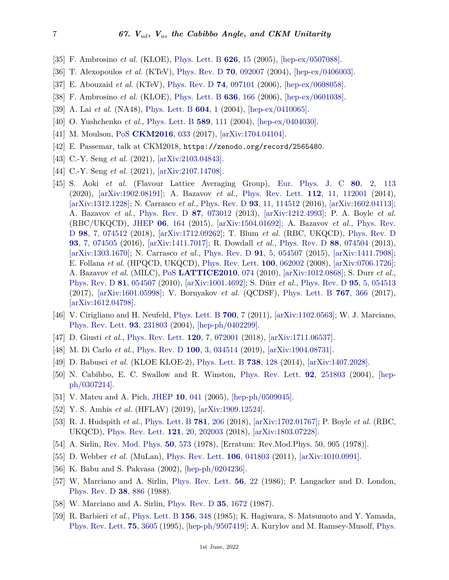- <span id="page-6-0"></span>[35] F. Ambrosino *et al.* (KLOE), [Phys. Lett. B](http://doi.org/10.1016/j.physletb.2005.08.022) **[626](http://doi.org/10.1016/j.physletb.2005.08.022)**, 15 (2005), [\[hep-ex/0507088\].](https://arxiv.org/abs/hep-ex/0507088)
- <span id="page-6-1"></span>[36] T. Alexopoulos *et al.* (KTeV), [Phys. Rev. D](http://doi.org/10.1103/PhysRevD.70.092007) **70**[, 092007](http://doi.org/10.1103/PhysRevD.70.092007) (2004), [\[hep-ex/0406003\].](https://arxiv.org/abs/hep-ex/0406003)
- [37] E. Abouzaid *et al.* (KTeV), [Phys. Rev. D](http://doi.org/10.1103/PhysRevD.74.097101) **74**[, 097101](http://doi.org/10.1103/PhysRevD.74.097101) (2006), [\[hep-ex/0608058\].](https://arxiv.org/abs/hep-ex/0608058)
- [38] F. Ambrosino *et al.* (KLOE), [Phys. Lett. B](http://doi.org/10.1016/j.physletb.2006.03.036) **636**[, 166](http://doi.org/10.1016/j.physletb.2006.03.036) (2006), [\[hep-ex/0601038\].](https://arxiv.org/abs/hep-ex/0601038)
- <span id="page-6-2"></span>[39] A. Lai *et al.* (NA48), [Phys. Lett. B](http://doi.org/10.1016/j.physletb.2004.08.076) **[604](http://doi.org/10.1016/j.physletb.2004.08.076)**, 1 (2004), [\[hep-ex/0410065\].](https://arxiv.org/abs/hep-ex/0410065)
- [40] O. Yushchenko *et al.*, [Phys. Lett. B](http://doi.org/10.1016/j.physletb.2004.03.069) **589**[, 111](http://doi.org/10.1016/j.physletb.2004.03.069) (2004), [\[hep-ex/0404030\].](https://arxiv.org/abs/hep-ex/0404030)
- <span id="page-6-3"></span>[41] M. Moulson, [PoS](http://doi.org/10.22323/1.291.0033) **[CKM2016](http://doi.org/10.22323/1.291.0033)**, 033 (2017), [\[arXiv:1704.04104\].](https://arxiv.org/abs/1704.04104)
- <span id="page-6-4"></span>[42] E. Passemar, talk at CKM2018, https://zenodo.org/record/2565480.
- <span id="page-6-5"></span>[43] C.-Y. Seng *et al.* (2021), [\[arXiv:2103.04843\].](https://arxiv.org/abs/2103.04843)
- <span id="page-6-6"></span>[44] C.-Y. Seng *et al.* (2021), [\[arXiv:2107.14708\].](https://arxiv.org/abs/2107.14708)
- <span id="page-6-7"></span>[45] S. Aoki *et al.* (Flavour Lattice Averaging Group), [Eur. Phys. J. C](http://doi.org/10.1140/epjc/s10052-019-7354-7) **80**[, 2, 113](http://doi.org/10.1140/epjc/s10052-019-7354-7) (2020), [\[arXiv:1902.08191\];](https://arxiv.org/abs/1902.08191) A. Bazavov *et al.*, [Phys. Rev. Lett.](http://doi.org/10.1103/PhysRevLett.112.112001) **112**[, 11, 112001](http://doi.org/10.1103/PhysRevLett.112.112001) (2014), [\[arXiv:1312.1228\];](https://arxiv.org/abs/1312.1228) N. Carrasco *et al.*, [Phys. Rev. D](http://doi.org/10.1103/PhysRevD.93.114512) **93**[, 11, 114512](http://doi.org/10.1103/PhysRevD.93.114512) (2016), [\[arXiv:1602.04113\];](https://arxiv.org/abs/1602.04113) A. Bazavov *et al.*, [Phys. Rev. D](http://doi.org/10.1103/PhysRevD.87.073012) **87**[, 073012](http://doi.org/10.1103/PhysRevD.87.073012) (2013), [\[arXiv:1212.4993\];](https://arxiv.org/abs/1212.4993) P. A. Boyle *et al.* (RBC/UKQCD), [JHEP](http://doi.org/10.1007/JHEP06(2015)164) **06**[, 164](http://doi.org/10.1007/JHEP06(2015)164) (2015), [\[arXiv:1504.01692\];](https://arxiv.org/abs/1504.01692) A. Bazavov *et al.*, [Phys. Rev.](http://doi.org/10.1103/PhysRevD.98.074512) [D](http://doi.org/10.1103/PhysRevD.98.074512) **98**[, 7, 074512](http://doi.org/10.1103/PhysRevD.98.074512) (2018), [\[arXiv:1712.09262\];](https://arxiv.org/abs/1712.09262) T. Blum *et al.* (RBC, UKQCD), [Phys. Rev. D](http://doi.org/10.1103/PhysRevD.93.074505) **93**[, 7, 074505](http://doi.org/10.1103/PhysRevD.93.074505) (2016), [\[arXiv:1411.7017\];](https://arxiv.org/abs/1411.7017) R. Dowdall *et al.*, [Phys. Rev. D](http://doi.org/10.1103/PhysRevD.88.074504) **88**[, 074504](http://doi.org/10.1103/PhysRevD.88.074504) (2013), [\[arXiv:1303.1670\];](https://arxiv.org/abs/1303.1670) N. Carrasco *et al.*, [Phys. Rev. D](http://doi.org/10.1103/PhysRevD.91.054507) **91**[, 5, 054507](http://doi.org/10.1103/PhysRevD.91.054507) (2015), [\[arXiv:1411.7908\];](https://arxiv.org/abs/1411.7908) E. Follana *et al.* (HPQCD, UKQCD), [Phys. Rev. Lett.](http://doi.org/10.1103/PhysRevLett.100.062002) **100**[, 062002](http://doi.org/10.1103/PhysRevLett.100.062002) (2008), [\[arXiv:0706.1726\];](https://arxiv.org/abs/0706.1726) A. Bazavov *et al.* (MILC), [PoS](http://doi.org/10.22323/1.105.0074) **[LATTICE2010](http://doi.org/10.22323/1.105.0074)**, 074 (2010), [\[arXiv:1012.0868\];](https://arxiv.org/abs/1012.0868) S. Durr *et al.*, [Phys. Rev. D](http://doi.org/10.1103/PhysRevD.81.054507) **81**[, 054507](http://doi.org/10.1103/PhysRevD.81.054507) (2010), [\[arXiv:1001.4692\];](https://arxiv.org/abs/1001.4692) S. Dürr *et al.*, [Phys. Rev. D](http://doi.org/10.1103/PhysRevD.95.054513) **95**[, 5, 054513](http://doi.org/10.1103/PhysRevD.95.054513) (2017), [\[arXiv:1601.05998\];](https://arxiv.org/abs/1601.05998) V. Bornyakov *et al.* (QCDSF), [Phys. Lett. B](http://doi.org/10.1016/j.physletb.2017.02.018) **767**[, 366](http://doi.org/10.1016/j.physletb.2017.02.018) (2017), [\[arXiv:1612.04798\].](https://arxiv.org/abs/1612.04798)
- <span id="page-6-8"></span>[46] V. Cirigliano and H. Neufeld, [Phys. Lett. B](http://doi.org/10.1016/j.physletb.2011.04.038) **[700](http://doi.org/10.1016/j.physletb.2011.04.038)**, 7 (2011), [\[arXiv:1102.0563\];](https://arxiv.org/abs/1102.0563) W. J. Marciano, [Phys. Rev. Lett.](http://doi.org/10.1103/PhysRevLett.93.231803) **93**[, 231803](http://doi.org/10.1103/PhysRevLett.93.231803) (2004), [\[hep-ph/0402299\].](https://arxiv.org/abs/hep-ph/0402299)
- <span id="page-6-10"></span>[47] D. Giusti *et al.*, [Phys. Rev. Lett.](http://doi.org/10.1103/PhysRevLett.120.072001) **120**[, 7, 072001](http://doi.org/10.1103/PhysRevLett.120.072001) (2018), [\[arXiv:1711.06537\].](https://arxiv.org/abs/1711.06537)
- <span id="page-6-9"></span>[48] M. Di Carlo *et al.*, [Phys. Rev. D](http://doi.org/10.1103/PhysRevD.100.034514) **100**[, 3, 034514](http://doi.org/10.1103/PhysRevD.100.034514) (2019), [\[arXiv:1904.08731\].](https://arxiv.org/abs/1904.08731)
- <span id="page-6-11"></span>[49] D. Babusci *et al.* (KLOE KLOE-2), [Phys. Lett. B](http://doi.org/10.1016/j.physletb.2014.09.033) **738**[, 128](http://doi.org/10.1016/j.physletb.2014.09.033) (2014), [\[arXiv:1407.2028\].](https://arxiv.org/abs/1407.2028)
- <span id="page-6-12"></span>[50] N. Cabibbo, E. C. Swallow and R. Winston, [Phys. Rev. Lett.](http://doi.org/10.1103/PhysRevLett.92.251803) **92**[, 251803](http://doi.org/10.1103/PhysRevLett.92.251803) (2004), [\[hep](https://arxiv.org/abs/hep-ph/0307214)[ph/0307214\].](https://arxiv.org/abs/hep-ph/0307214)
- <span id="page-6-14"></span><span id="page-6-13"></span>[51] V. Mateu and A. Pich, [JHEP](http://doi.org/10.1088/1126-6708/2005/10/041) **10**[, 041](http://doi.org/10.1088/1126-6708/2005/10/041) (2005), [\[hep-ph/0509045\].](https://arxiv.org/abs/hep-ph/0509045)
- [52] Y. S. Amhis *et al.* (HFLAV) (2019), [\[arXiv:1909.12524\].](https://arxiv.org/abs/1909.12524)
- <span id="page-6-15"></span>[53] R. J. Hudspith *et al.*, [Phys. Lett. B](http://doi.org/10.1016/j.physletb.2018.03.074) **781**[, 206](http://doi.org/10.1016/j.physletb.2018.03.074) (2018), [\[arXiv:1702.01767\];](https://arxiv.org/abs/1702.01767) P. Boyle *et al.* (RBC, UKQCD), [Phys. Rev. Lett.](http://doi.org/10.1103/PhysRevLett.121.202003) **121**[, 20, 202003](http://doi.org/10.1103/PhysRevLett.121.202003) (2018), [\[arXiv:1803.07228\].](https://arxiv.org/abs/1803.07228)
- <span id="page-6-17"></span><span id="page-6-16"></span>[54] A. Sirlin, [Rev. Mod. Phys.](http://doi.org/10.1103/RevModPhys.50.573) **50**[, 573](http://doi.org/10.1103/RevModPhys.50.573) (1978), [Erratum: Rev.Mod.Phys. 50, 905 (1978)].
- <span id="page-6-18"></span>[55] D. Webber *et al.* (MuLan), [Phys. Rev. Lett.](http://doi.org/10.1103/PhysRevLett.106.079901) **106**[, 041803](http://doi.org/10.1103/PhysRevLett.106.079901) (2011), [\[arXiv:1010.0991\].](https://arxiv.org/abs/1010.0991)
- <span id="page-6-19"></span>[56] K. Babu and S. Pakvasa (2002), [\[hep-ph/0204236\].](https://arxiv.org/abs/hep-ph/0204236)
- [57] W. Marciano and A. Sirlin, [Phys. Rev. Lett.](http://doi.org/10.1103/PhysRevLett.56.22) **56**[, 22](http://doi.org/10.1103/PhysRevLett.56.22) (1986); P. Langacker and D. London, [Phys. Rev. D](http://doi.org/10.1103/PhysRevD.38.886) **38**[, 886](http://doi.org/10.1103/PhysRevD.38.886) (1988).
- <span id="page-6-20"></span>[58] W. Marciano and A. Sirlin, [Phys. Rev. D](http://doi.org/10.1103/PhysRevD.35.1672) **35**[, 1672](http://doi.org/10.1103/PhysRevD.35.1672) (1987).
- <span id="page-6-21"></span>[59] R. Barbieri *et al.*, [Phys. Lett. B](http://doi.org/10.1016/0370-2693(85)91623-5) **156**[, 348](http://doi.org/10.1016/0370-2693(85)91623-5) (1985); K. Hagiwara, S. Matsumoto and Y. Yamada, [Phys. Rev. Lett.](http://doi.org/10.1103/PhysRevLett.75.3605) **75**[, 3605](http://doi.org/10.1103/PhysRevLett.75.3605) (1995), [\[hep-ph/9507419\];](https://arxiv.org/abs/hep-ph/9507419) A. Kurylov and M. Ramsey-Musolf, [Phys.](http://doi.org/10.1103/PhysRevLett.88.071804)